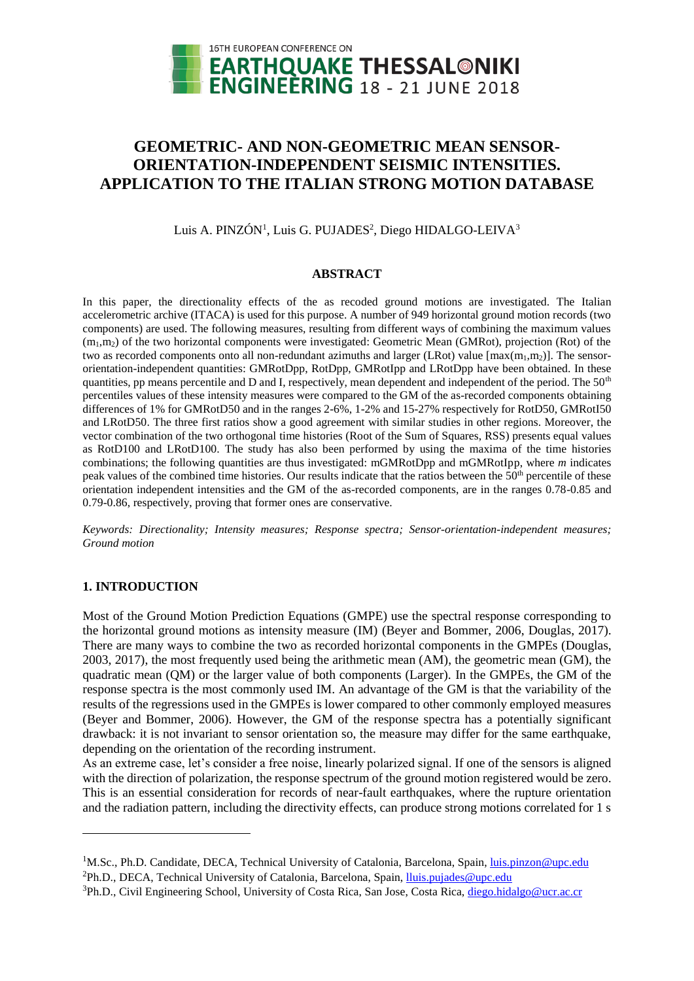

# **GEOMETRIC- AND NON-GEOMETRIC MEAN SENSOR-ORIENTATION-INDEPENDENT SEISMIC INTENSITIES. APPLICATION TO THE ITALIAN STRONG MOTION DATABASE**

Luis A. PINZÓN<sup>1</sup>, Luis G. PUJADES<sup>2</sup>, Diego HIDALGO-LEIVA<sup>3</sup>

## **ABSTRACT**

In this paper, the directionality effects of the as recoded ground motions are investigated. The Italian accelerometric archive (ITACA) is used for this purpose. A number of 949 horizontal ground motion records (two components) are used. The following measures, resulting from different ways of combining the maximum values  $(m_1,m_2)$  of the two horizontal components were investigated: Geometric Mean (GMRot), projection (Rot) of the two as recorded components onto all non-redundant azimuths and larger (LRot) value  $[\max(m_1, m_2)]$ . The sensororientation-independent quantities: GMRotDpp, RotDpp, GMRotIpp and LRotDpp have been obtained. In these quantities, pp means percentile and D and I, respectively, mean dependent and independent of the period. The  $50<sup>th</sup>$ percentiles values of these intensity measures were compared to the GM of the as-recorded components obtaining differences of 1% for GMRotD50 and in the ranges 2-6%, 1-2% and 15-27% respectively for RotD50, GMRotI50 and LRotD50. The three first ratios show a good agreement with similar studies in other regions. Moreover, the vector combination of the two orthogonal time histories (Root of the Sum of Squares, RSS) presents equal values as RotD100 and LRotD100. The study has also been performed by using the maxima of the time histories combinations; the following quantities are thus investigated: mGMRotDpp and mGMRotIpp, where *m* indicates peak values of the combined time histories. Our results indicate that the ratios between the 50<sup>th</sup> percentile of these orientation independent intensities and the GM of the as-recorded components, are in the ranges 0.78-0.85 and 0.79-0.86, respectively, proving that former ones are conservative.

*Keywords: Directionality; Intensity measures; Response spectra; Sensor-orientation-independent measures; Ground motion*

# **1. INTRODUCTION**

l

Most of the Ground Motion Prediction Equations (GMPE) use the spectral response corresponding to the horizontal ground motions as intensity measure (IM) (Beyer and Bommer, 2006, Douglas, 2017). There are many ways to combine the two as recorded horizontal components in the GMPEs (Douglas, 2003, 2017), the most frequently used being the arithmetic mean (AM), the geometric mean (GM), the quadratic mean (QM) or the larger value of both components (Larger). In the GMPEs, the GM of the response spectra is the most commonly used IM. An advantage of the GM is that the variability of the results of the regressions used in the GMPEs is lower compared to other commonly employed measures (Beyer and Bommer, 2006). However, the GM of the response spectra has a potentially significant drawback: it is not invariant to sensor orientation so, the measure may differ for the same earthquake, depending on the orientation of the recording instrument.

As an extreme case, let's consider a free noise, linearly polarized signal. If one of the sensors is aligned with the direction of polarization, the response spectrum of the ground motion registered would be zero. This is an essential consideration for records of near-fault earthquakes, where the rupture orientation and the radiation pattern, including the directivity effects, can produce strong motions correlated for 1 s

<sup>&</sup>lt;sup>1</sup>M.Sc., Ph.D. Candidate, DECA, Technical University of Catalonia, Barcelona, Spain, *luis.pinzon@upc.edu*  ${}^{2}Ph.D., DECA, Technical University of Catalonia, Barcelona, Spain, lluis.pujades@upc.edu$  ${}^{2}Ph.D., DECA, Technical University of Catalonia, Barcelona, Spain, lluis.pujades@upc.edu$ 

<sup>&</sup>lt;sup>3</sup>Ph.D., Civil Engineering School, University of Costa Rica, San Jose, Costa Rica, [diego.hidalgo@ucr.ac.cr](mailto:diego.hidalgo@ucr.ac.cr)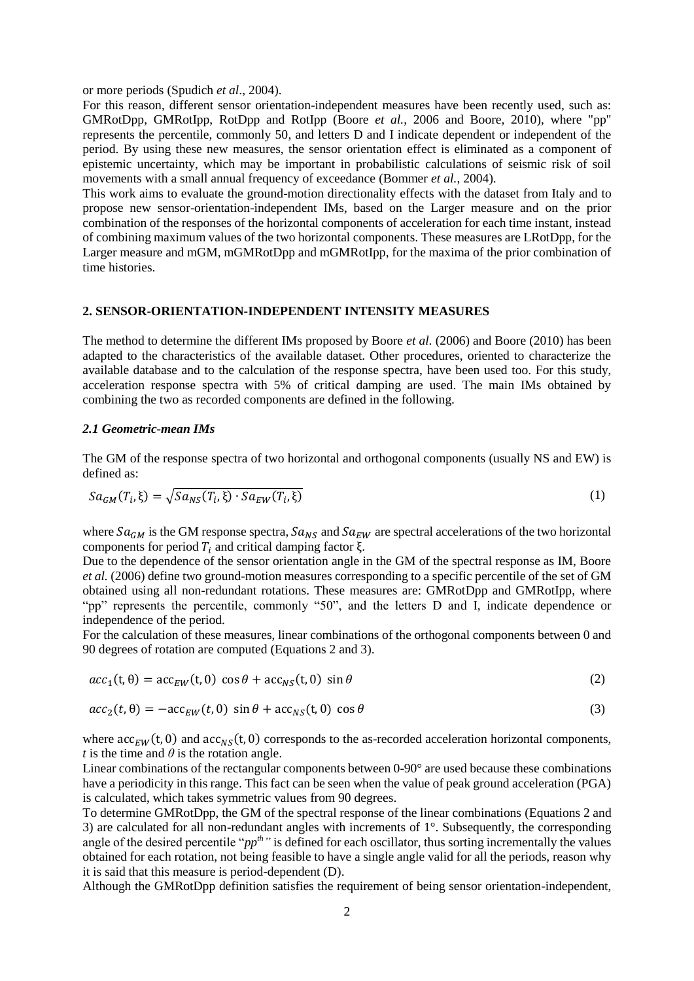or more periods (Spudich *et al*., 2004).

For this reason, different sensor orientation-independent measures have been recently used, such as: GMRotDpp, GMRotIpp, RotDpp and RotIpp (Boore *et al.*, 2006 and Boore, 2010), where "pp" represents the percentile, commonly 50, and letters D and I indicate dependent or independent of the period. By using these new measures, the sensor orientation effect is eliminated as a component of epistemic uncertainty, which may be important in probabilistic calculations of seismic risk of soil movements with a small annual frequency of exceedance (Bommer *et al.*, 2004).

This work aims to evaluate the ground-motion directionality effects with the dataset from Italy and to propose new sensor-orientation-independent IMs, based on the Larger measure and on the prior combination of the responses of the horizontal components of acceleration for each time instant, instead of combining maximum values of the two horizontal components. These measures are LRotDpp, for the Larger measure and mGM, mGMRotDpp and mGMRotIpp, for the maxima of the prior combination of time histories.

#### **2. SENSOR-ORIENTATION-INDEPENDENT INTENSITY MEASURES**

The method to determine the different IMs proposed by Boore *et al.* (2006) and Boore (2010) has been adapted to the characteristics of the available dataset. Other procedures, oriented to characterize the available database and to the calculation of the response spectra, have been used too. For this study, acceleration response spectra with 5% of critical damping are used. The main IMs obtained by combining the two as recorded components are defined in the following.

#### *2.1 Geometric-mean IMs*

The GM of the response spectra of two horizontal and orthogonal components (usually NS and EW) is defined as:

$$
Sa_{GM}(T_i,\xi) = \sqrt{Sa_{NS}(T_i,\xi)} \cdot Sa_{EW}(T_i,\xi)
$$
\n(1)

where  $sa_{GM}$  is the GM response spectra,  $sa_{NS}$  and  $sa_{EW}$  are spectral accelerations of the two horizontal components for period  $T_i$  and critical damping factor ξ.

Due to the dependence of the sensor orientation angle in the GM of the spectral response as IM, Boore *et al.* (2006) define two ground-motion measures corresponding to a specific percentile of the set of GM obtained using all non-redundant rotations. These measures are: GMRotDpp and GMRotIpp, where "pp" represents the percentile, commonly "50", and the letters D and I, indicate dependence or independence of the period.

For the calculation of these measures, linear combinations of the orthogonal components between 0 and 90 degrees of rotation are computed (Equations 2 and 3).

$$
acc_1(t, \theta) = acc_{EW}(t, 0) \cos \theta + acc_{NS}(t, 0) \sin \theta \tag{2}
$$

$$
acc_2(t, \theta) = -acc_{EW}(t, 0) \sin \theta + acc_{NS}(t, 0) \cos \theta \tag{3}
$$

where  $acc_{EW}(t, 0)$  and  $acc_{NS}(t, 0)$  corresponds to the as-recorded acceleration horizontal components, *t* is the time and  $\theta$  is the rotation angle.

Linear combinations of the rectangular components between 0-90° are used because these combinations have a periodicity in this range. This fact can be seen when the value of peak ground acceleration (PGA) is calculated, which takes symmetric values from 90 degrees.

To determine GMRotDpp, the GM of the spectral response of the linear combinations (Equations 2 and 3) are calculated for all non-redundant angles with increments of 1°. Subsequently, the corresponding angle of the desired percentile "*ppth"* is defined for each oscillator, thus sorting incrementally the values obtained for each rotation, not being feasible to have a single angle valid for all the periods, reason why it is said that this measure is period-dependent (D).

Although the GMRotDpp definition satisfies the requirement of being sensor orientation-independent,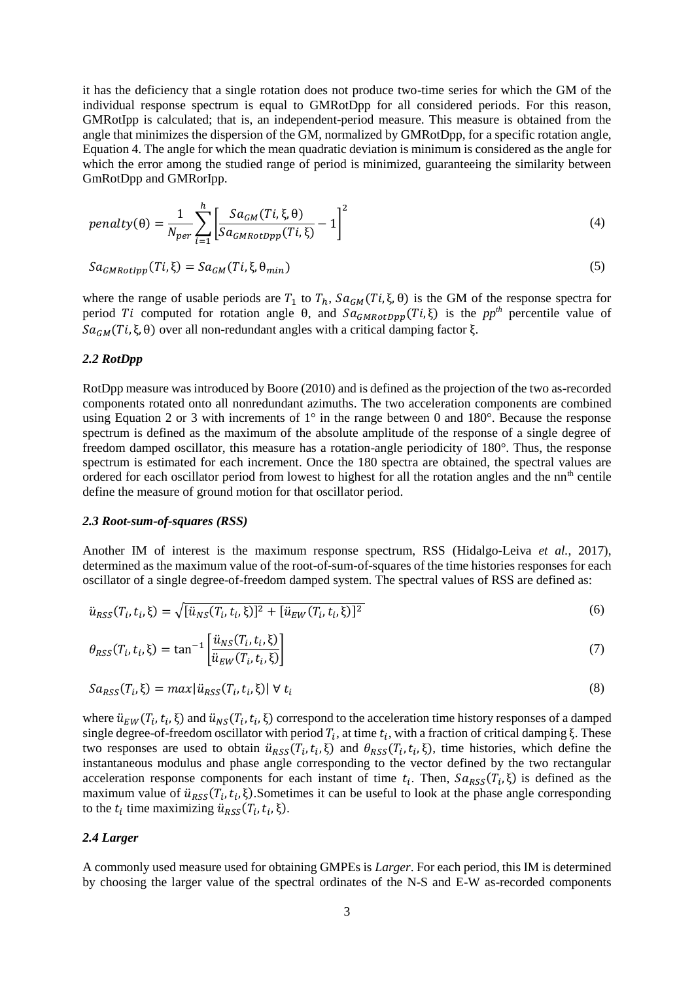it has the deficiency that a single rotation does not produce two-time series for which the GM of the individual response spectrum is equal to GMRotDpp for all considered periods. For this reason, GMRotIpp is calculated; that is, an independent-period measure. This measure is obtained from the angle that minimizes the dispersion of the GM, normalized by GMRotDpp, for a specific rotation angle, Equation 4. The angle for which the mean quadratic deviation is minimum is considered as the angle for which the error among the studied range of period is minimized, guaranteeing the similarity between GmRotDpp and GMRorIpp.

$$
penalty(\theta) = \frac{1}{N_{per}} \sum_{i=1}^{h} \left[ \frac{Sa_{GM}(Ti, \xi, \theta)}{Sa_{GMRotDpp}(Ti, \xi)} - 1 \right]^2
$$
\n(4)

$$
Sa_{GMRotlpp}(Ti,\xi) = Sa_{GM}(Ti,\xi,\theta_{min})
$$
\n(5)

where the range of usable periods are  $T_1$  to  $T_h$ ,  $Sa_{GM}(Ti, \xi, \theta)$  is the GM of the response spectra for period Ti computed for rotation angle  $\theta$ , and  $Sa_{GMRotDpp}(Ti, \xi)$  is the *pp<sup>th</sup>* percentile value of  $Sa_{GM}(Ti, \xi, \theta)$  over all non-redundant angles with a critical damping factor ξ.

## *2.2 RotDpp*

RotDpp measure was introduced by Boore (2010) and is defined as the projection of the two as-recorded components rotated onto all nonredundant azimuths. The two acceleration components are combined using Equation 2 or 3 with increments of 1° in the range between 0 and 180°. Because the response spectrum is defined as the maximum of the absolute amplitude of the response of a single degree of freedom damped oscillator, this measure has a rotation-angle periodicity of 180°. Thus, the response spectrum is estimated for each increment. Once the 180 spectra are obtained, the spectral values are ordered for each oscillator period from lowest to highest for all the rotation angles and the nn<sup>th</sup> centile define the measure of ground motion for that oscillator period.

#### *2.3 Root-sum-of-squares (RSS)*

Another IM of interest is the maximum response spectrum, RSS (Hidalgo-Leiva *et al.*, 2017), determined as the maximum value of the root-of-sum-of-squares of the time histories responses for each oscillator of a single degree-of-freedom damped system. The spectral values of RSS are defined as:

$$
\ddot{u}_{RSS}(T_i, t_i, \xi) = \sqrt{[\ddot{u}_{NS}(T_i, t_i, \xi)]^2 + [\ddot{u}_{EW}(T_i, t_i, \xi)]^2}
$$
(6)

$$
\theta_{RSS}(T_i, t_i, \xi) = \tan^{-1} \left[ \frac{\ddot{u}_{NS}(T_i, t_i, \xi)}{\ddot{u}_{EW}(T_i, t_i, \xi)} \right]
$$
\n<sup>(7)</sup>

$$
Sa_{RSS}(T_i, \xi) = max[i_{RSS}(T_i, t_i, \xi)] \forall t_i
$$
\n(8)

where  $\ddot{u}_{EW}(T_i, t_i, \xi)$  and  $\ddot{u}_{NS}(T_i, t_i, \xi)$  correspond to the acceleration time history responses of a damped single degree-of-freedom oscillator with period  $T_i$ , at time  $t_i$ , with a fraction of critical damping ξ. These two responses are used to obtain  $\ddot{u}_{RSS}(T_i, t_i, \xi)$  and  $\theta_{RSS}(T_i, t_i, \xi)$ , time histories, which define the instantaneous modulus and phase angle corresponding to the vector defined by the two rectangular acceleration response components for each instant of time  $t_i$ . Then,  $Sa_{RSS}(T_i, \xi)$  is defined as the maximum value of  $\ddot{u}_{RSS}(T_i, t_i, \xi)$ . Sometimes it can be useful to look at the phase angle corresponding to the  $t_i$  time maximizing  $\ddot{u}_{RSS}(T_i, t_i, \xi)$ .

## *2.4 Larger*

A commonly used measure used for obtaining GMPEs is *Larger*. For each period, this IM is determined by choosing the larger value of the spectral ordinates of the N-S and E-W as-recorded components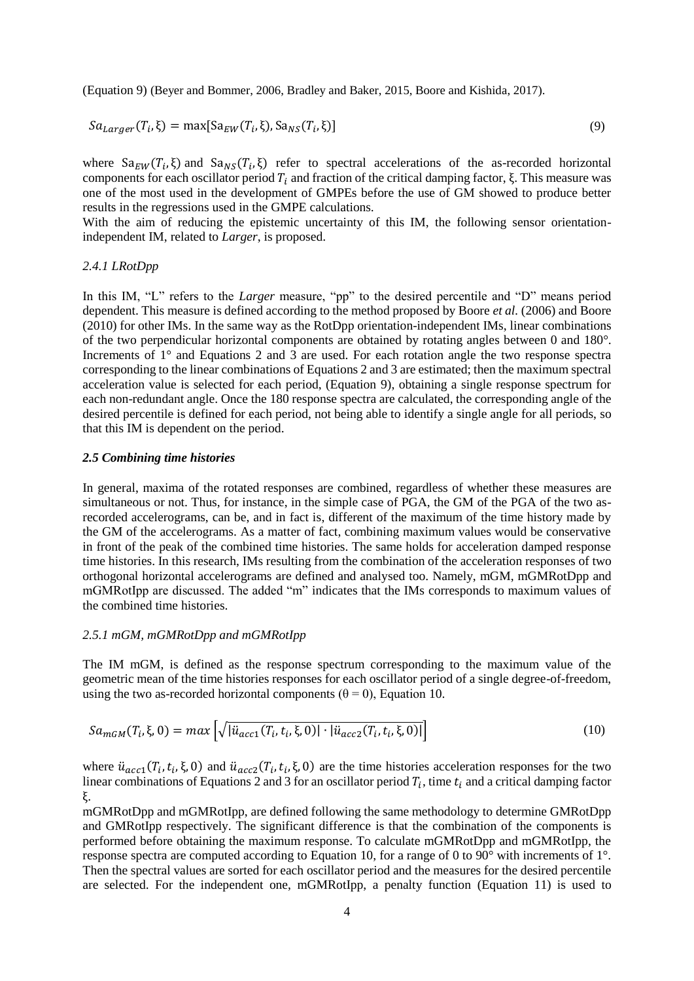(Equation 9) (Beyer and Bommer, 2006, Bradley and Baker, 2015, Boore and Kishida, 2017).

$$
Sa_{Larger}(T_i, \xi) = \max[Sa_{EW}(T_i, \xi), Sa_{NS}(T_i, \xi)]
$$
\n(9)

where  $Sa_{EW}(T_i, \xi)$  and  $Sa_{NS}(T_i, \xi)$  refer to spectral accelerations of the as-recorded horizontal components for each oscillator period  $T_i$  and fraction of the critical damping factor, ξ. This measure was one of the most used in the development of GMPEs before the use of GM showed to produce better results in the regressions used in the GMPE calculations.

With the aim of reducing the epistemic uncertainty of this IM, the following sensor orientationindependent IM, related to *Larger*, is proposed.

#### *2.4.1 LRotDpp*

In this IM, "L" refers to the *Larger* measure, "pp" to the desired percentile and "D" means period dependent. This measure is defined according to the method proposed by Boore *et al.* (2006) and Boore (2010) for other IMs. In the same way as the RotDpp orientation-independent IMs, linear combinations of the two perpendicular horizontal components are obtained by rotating angles between 0 and 180°. Increments of 1° and Equations 2 and 3 are used. For each rotation angle the two response spectra corresponding to the linear combinations of Equations 2 and 3 are estimated; then the maximum spectral acceleration value is selected for each period, (Equation 9), obtaining a single response spectrum for each non-redundant angle. Once the 180 response spectra are calculated, the corresponding angle of the desired percentile is defined for each period, not being able to identify a single angle for all periods, so that this IM is dependent on the period.

#### *2.5 Combining time histories*

In general, maxima of the rotated responses are combined, regardless of whether these measures are simultaneous or not. Thus, for instance, in the simple case of PGA, the GM of the PGA of the two asrecorded accelerograms, can be, and in fact is, different of the maximum of the time history made by the GM of the accelerograms. As a matter of fact, combining maximum values would be conservative in front of the peak of the combined time histories. The same holds for acceleration damped response time histories. In this research, IMs resulting from the combination of the acceleration responses of two orthogonal horizontal accelerograms are defined and analysed too. Namely, mGM, mGMRotDpp and mGMRotIpp are discussed. The added "m" indicates that the IMs corresponds to maximum values of the combined time histories.

# *2.5.1 mGM, mGMRotDpp and mGMRotIpp*

The IM mGM, is defined as the response spectrum corresponding to the maximum value of the geometric mean of the time histories responses for each oscillator period of a single degree-of-freedom, using the two as-recorded horizontal components ( $\theta = 0$ ), Equation 10.

$$
Sa_{mGM}(T_i, \xi, 0) = max \left[ \sqrt{|\ddot{u}_{acc1}(T_i, t_i, \xi, 0)| \cdot |\ddot{u}_{acc2}(T_i, t_i, \xi, 0)|} \right]
$$
(10)

where  $\ddot{u}_{acc1}(T_i, t_i, \xi, 0)$  and  $\ddot{u}_{acc2}(T_i, t_i, \xi, 0)$  are the time histories acceleration responses for the two linear combinations of Equations 2 and 3 for an oscillator period  $T_i$ , time  $t_i$  and a critical damping factor ξ.

mGMRotDpp and mGMRotIpp, are defined following the same methodology to determine GMRotDpp and GMRotIpp respectively. The significant difference is that the combination of the components is performed before obtaining the maximum response. To calculate mGMRotDpp and mGMRotIpp, the response spectra are computed according to Equation 10, for a range of 0 to 90° with increments of 1°. Then the spectral values are sorted for each oscillator period and the measures for the desired percentile are selected. For the independent one, mGMRotIpp, a penalty function (Equation 11) is used to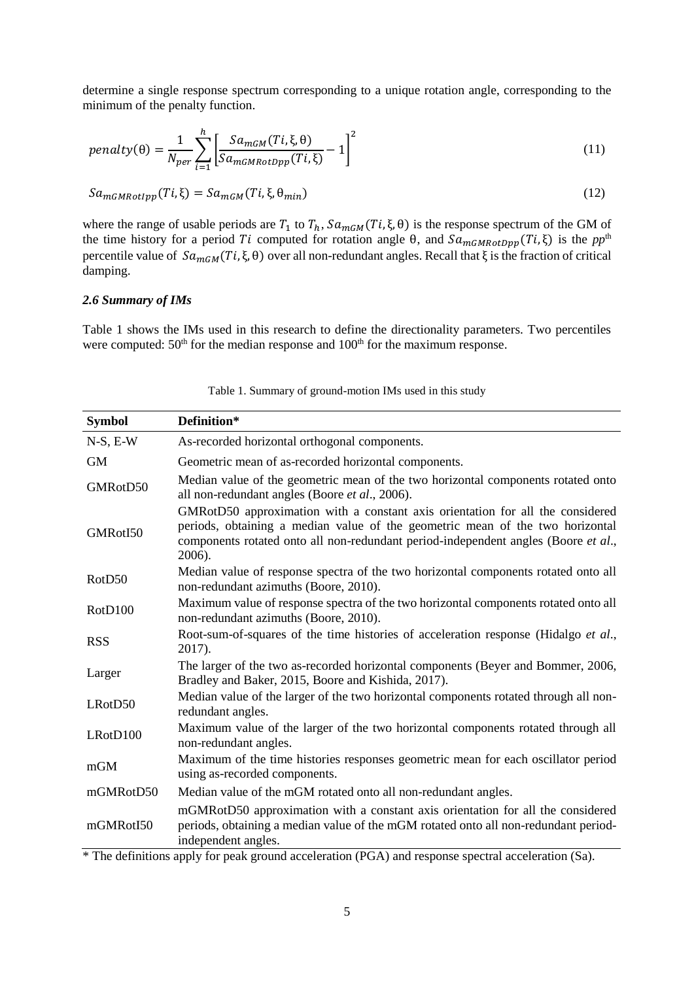determine a single response spectrum corresponding to a unique rotation angle, corresponding to the minimum of the penalty function.

$$
penalty(\theta) = \frac{1}{N_{per}} \sum_{i=1}^{h} \left[ \frac{Sa_{mGM}(Ti, \xi, \theta)}{Sa_{mGMRotDpp}(Ti, \xi)} - 1 \right]^2
$$
\n(11)

$$
Sa_{mGMRotlpp}(Ti,\xi) = Sa_{mGM}(Ti,\xi,\theta_{min})
$$
\n(12)

where the range of usable periods are  $T_1$  to  $T_h$ ,  $Sa_{mGM}(Ti, \xi, \theta)$  is the response spectrum of the GM of the time history for a period *Ti* computed for rotation angle  $\theta$ , and  $\overline{Sa_{mGMRotDpp}(Ti,\xi)}$  is the  $pp^{\text{th}}$ percentile value of  $Sa_{mGM}(Ti, \xi, \theta)$  over all non-redundant angles. Recall that  $\xi$  is the fraction of critical damping.

## *2.6 Summary of IMs*

Table 1 shows the IMs used in this research to define the directionality parameters. Two percentiles were computed:  $50<sup>th</sup>$  for the median response and  $100<sup>th</sup>$  for the maximum response.

| <b>Symbol</b>      | Definition*                                                                                                                                                                                                                                                     |
|--------------------|-----------------------------------------------------------------------------------------------------------------------------------------------------------------------------------------------------------------------------------------------------------------|
| $N-S, E-W$         | As-recorded horizontal orthogonal components.                                                                                                                                                                                                                   |
| <b>GM</b>          | Geometric mean of as-recorded horizontal components.                                                                                                                                                                                                            |
| GMRotD50           | Median value of the geometric mean of the two horizontal components rotated onto<br>all non-redundant angles (Boore et al., 2006).                                                                                                                              |
| GMRotI50           | GMRotD50 approximation with a constant axis orientation for all the considered<br>periods, obtaining a median value of the geometric mean of the two horizontal<br>components rotated onto all non-redundant period-independent angles (Boore et al.,<br>2006). |
| RotD <sub>50</sub> | Median value of response spectra of the two horizontal components rotated onto all<br>non-redundant azimuths (Boore, 2010).                                                                                                                                     |
| RotD100            | Maximum value of response spectra of the two horizontal components rotated onto all<br>non-redundant azimuths (Boore, 2010).                                                                                                                                    |
| <b>RSS</b>         | Root-sum-of-squares of the time histories of acceleration response (Hidalgo et al.,<br>2017).                                                                                                                                                                   |
| Larger             | The larger of the two as-recorded horizontal components (Beyer and Bommer, 2006,<br>Bradley and Baker, 2015, Boore and Kishida, 2017).                                                                                                                          |
| LRotD50            | Median value of the larger of the two horizontal components rotated through all non-<br>redundant angles.                                                                                                                                                       |
| LRotD100           | Maximum value of the larger of the two horizontal components rotated through all<br>non-redundant angles.                                                                                                                                                       |
| mGM                | Maximum of the time histories responses geometric mean for each oscillator period<br>using as-recorded components.                                                                                                                                              |
| mGMRotD50          | Median value of the mGM rotated onto all non-redundant angles.                                                                                                                                                                                                  |
| mGMRotI50          | mGMRotD50 approximation with a constant axis orientation for all the considered<br>periods, obtaining a median value of the mGM rotated onto all non-redundant period-<br>independent angles.                                                                   |
|                    |                                                                                                                                                                                                                                                                 |

Table 1. Summary of ground-motion IMs used in this study

\* The definitions apply for peak ground acceleration (PGA) and response spectral acceleration (Sa).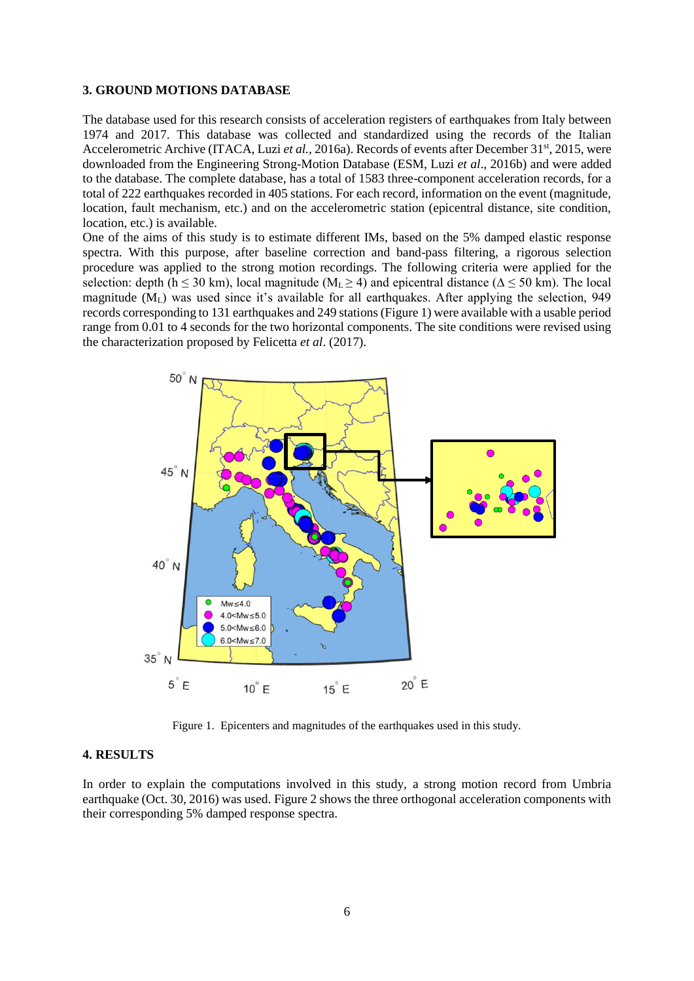#### **3. GROUND MOTIONS DATABASE**

The database used for this research consists of acceleration registers of earthquakes from Italy between 1974 and 2017. This database was collected and standardized using the records of the Italian Accelerometric Archive (ITACA, Luzi *et al.*, 2016a). Records of events after December 31<sup>st</sup>, 2015, were downloaded from the Engineering Strong-Motion Database (ESM, Luzi *et al*., 2016b) and were added to the database. The complete database, has a total of 1583 three-component acceleration records, for a total of 222 earthquakes recorded in 405 stations. For each record, information on the event (magnitude, location, fault mechanism, etc.) and on the accelerometric station (epicentral distance, site condition, location, etc.) is available.

One of the aims of this study is to estimate different IMs, based on the 5% damped elastic response spectra. With this purpose, after baseline correction and band-pass filtering, a rigorous selection procedure was applied to the strong motion recordings. The following criteria were applied for the selection: depth (h  $\leq$  30 km), local magnitude (M<sub>L</sub> $\geq$  4) and epicentral distance ( $\Delta \leq$  50 km). The local magnitude  $(M<sub>L</sub>)$  was used since it's available for all earthquakes. After applying the selection, 949 records corresponding to 131 earthquakes and 249 stations (Figure 1) were available with a usable period range from 0.01 to 4 seconds for the two horizontal components. The site conditions were revised using the characterization proposed by Felicetta *et al*. (2017).



Figure 1. Epicenters and magnitudes of the earthquakes used in this study.

## **4. RESULTS**

In order to explain the computations involved in this study, a strong motion record from Umbria earthquake (Oct. 30, 2016) was used. Figure 2 shows the three orthogonal acceleration components with their corresponding 5% damped response spectra.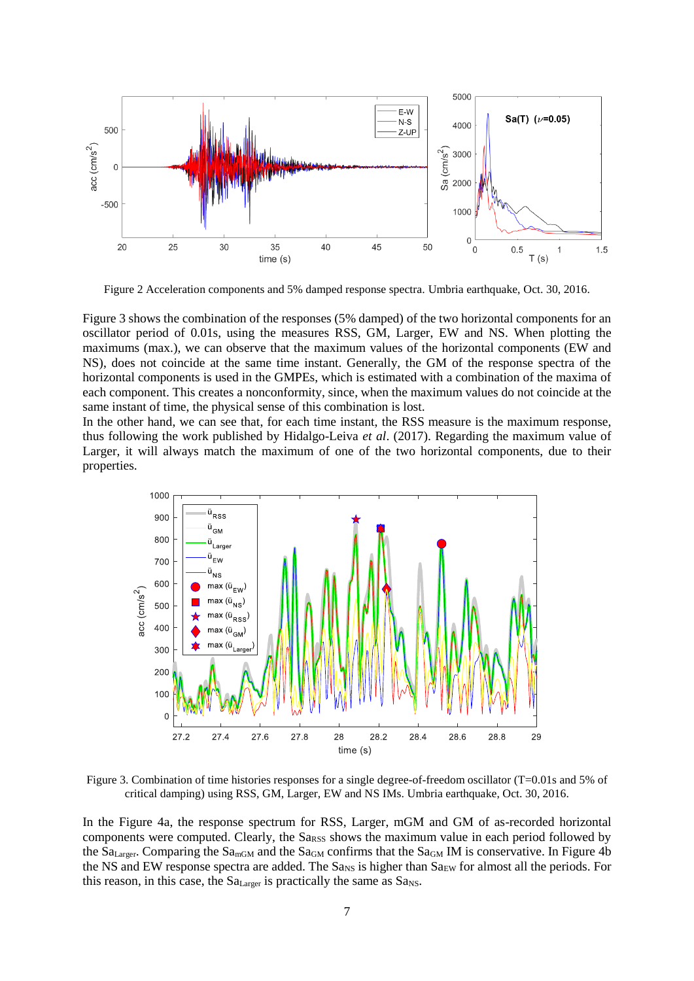

Figure 2 Acceleration components and 5% damped response spectra. Umbria earthquake, Oct. 30, 2016.

Figure 3 shows the combination of the responses (5% damped) of the two horizontal components for an oscillator period of 0.01s, using the measures RSS, GM, Larger, EW and NS. When plotting the maximums (max.), we can observe that the maximum values of the horizontal components (EW and NS), does not coincide at the same time instant. Generally, the GM of the response spectra of the horizontal components is used in the GMPEs, which is estimated with a combination of the maxima of each component. This creates a nonconformity, since, when the maximum values do not coincide at the same instant of time, the physical sense of this combination is lost.

In the other hand, we can see that, for each time instant, the RSS measure is the maximum response, thus following the work published by Hidalgo-Leiva *et al*. (2017). Regarding the maximum value of Larger, it will always match the maximum of one of the two horizontal components, due to their properties.



Figure 3. Combination of time histories responses for a single degree-of-freedom oscillator (T=0.01s and 5% of critical damping) using RSS, GM, Larger, EW and NS IMs. Umbria earthquake, Oct. 30, 2016.

In the Figure 4a, the response spectrum for RSS, Larger, mGM and GM of as-recorded horizontal components were computed. Clearly, the Sa<sub>RSS</sub> shows the maximum value in each period followed by the  $Sa<sub>Larger</sub>$ . Comparing the  $Sa<sub>mGM</sub>$  and the  $Sa<sub>GM</sub>$  confirms that the  $Sa<sub>GM</sub>$  IM is conservative. In Figure 4b the NS and EW response spectra are added. The  $Sa_{NS}$  is higher than  $Sa_{EW}$  for almost all the periods. For this reason, in this case, the  $Sa<sub>Larger</sub>$  is practically the same as  $Sa<sub>NS</sub>$ .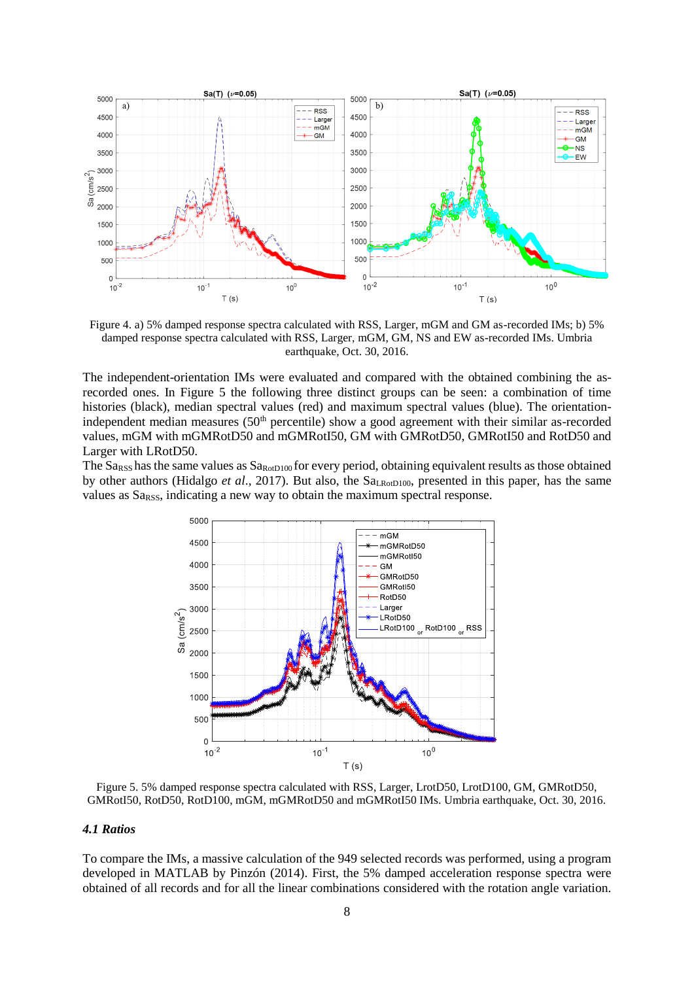

Figure 4. a) 5% damped response spectra calculated with RSS, Larger, mGM and GM as-recorded IMs; b) 5% damped response spectra calculated with RSS, Larger, mGM, GM, NS and EW as-recorded IMs. Umbria earthquake, Oct. 30, 2016.

The independent-orientation IMs were evaluated and compared with the obtained combining the asrecorded ones. In Figure 5 the following three distinct groups can be seen: a combination of time histories (black), median spectral values (red) and maximum spectral values (blue). The orientationindependent median measures  $(50<sup>th</sup>$  percentile) show a good agreement with their similar as-recorded values, mGM with mGMRotD50 and mGMRotI50, GM with GMRotD50, GMRotI50 and RotD50 and Larger with LRotD50.

The  $S_{RSS}$  has the same values as  $S_{R_{\text{O0D100}}}$  for every period, obtaining equivalent results as those obtained by other authors (Hidalgo *et al.*, 2017). But also, the Sa<sub>LRotD100</sub>, presented in this paper, has the same values as Sa<sub>RSS</sub>, indicating a new way to obtain the maximum spectral response.



Figure 5. 5% damped response spectra calculated with RSS, Larger, LrotD50, LrotD100, GM, GMRotD50, GMRotI50, RotD50, RotD100, mGM, mGMRotD50 and mGMRotI50 IMs. Umbria earthquake, Oct. 30, 2016.

#### *4.1 Ratios*

To compare the IMs, a massive calculation of the 949 selected records was performed, using a program developed in MATLAB by Pinzón (2014). First, the 5% damped acceleration response spectra were obtained of all records and for all the linear combinations considered with the rotation angle variation.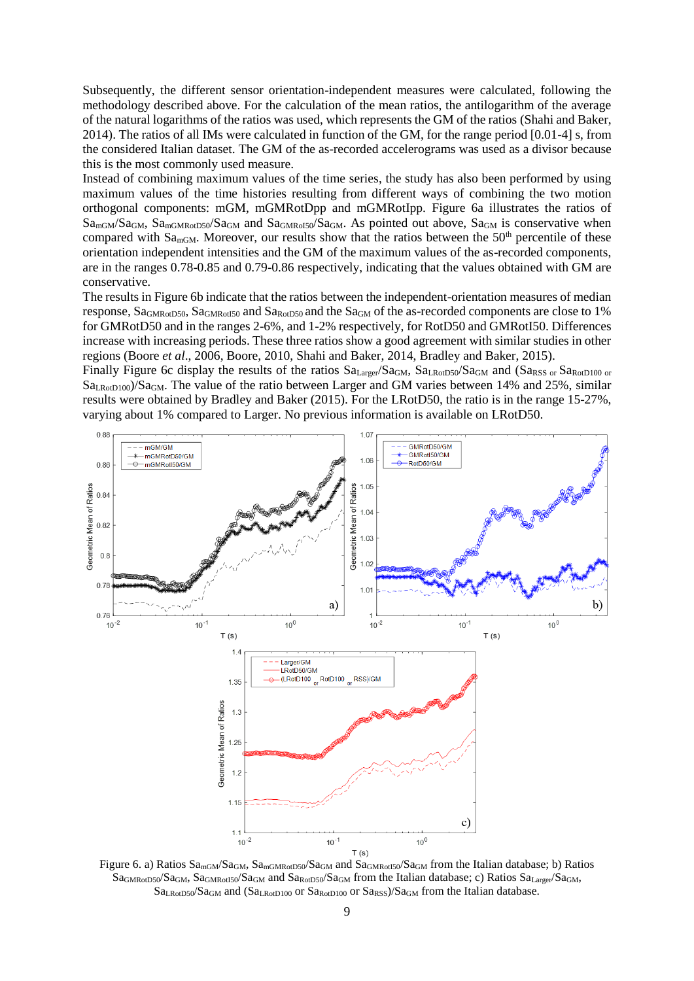Subsequently, the different sensor orientation-independent measures were calculated, following the methodology described above. For the calculation of the mean ratios, the antilogarithm of the average of the natural logarithms of the ratios was used, which represents the GM of the ratios (Shahi and Baker, 2014). The ratios of all IMs were calculated in function of the GM, for the range period [0.01-4] s, from the considered Italian dataset. The GM of the as-recorded accelerograms was used as a divisor because this is the most commonly used measure.

Instead of combining maximum values of the time series, the study has also been performed by using maximum values of the time histories resulting from different ways of combining the two motion orthogonal components: mGM, mGMRotDpp and mGMRotIpp. Figure 6a illustrates the ratios of Sa<sub>mGM</sub>/Sa<sub>GM</sub>, Sa<sub>mGMRotD50</sub>/Sa<sub>GM</sub> and Sa<sub>GMRoI50</sub>/Sa<sub>GM</sub>. As pointed out above, Sa<sub>GM</sub> is conservative when compared with  $S_{\text{dmGM}}$ . Moreover, our results show that the ratios between the 50<sup>th</sup> percentile of these orientation independent intensities and the GM of the maximum values of the as-recorded components, are in the ranges 0.78-0.85 and 0.79-0.86 respectively, indicating that the values obtained with GM are conservative.

The results in Figure 6b indicate that the ratios between the independent-orientation measures of median response, SaGMRotD50, SaGMRotI50 and SaRotD50 and the SaGM of the as-recorded components are close to 1% for GMRotD50 and in the ranges 2-6%, and 1-2% respectively, for RotD50 and GMRotI50. Differences increase with increasing periods. These three ratios show a good agreement with similar studies in other regions (Boore *et al*., 2006, Boore, 2010, Shahi and Baker, 2014, Bradley and Baker, 2015).

Finally Figure 6c display the results of the ratios Sa<sub>Larger</sub>/Sa<sub>GM</sub>, Sa<sub>LRotD50</sub>/Sa<sub>GM</sub> and (Sa<sub>RSS or</sub> Sa<sub>RotD100 or</sub>  $S_{a_{R\alpha D100}}/S_{a_{G\alpha}}$ . The value of the ratio between Larger and GM varies between 14% and 25%, similar results were obtained by Bradley and Baker (2015). For the LRotD50, the ratio is in the range 15-27%, varying about 1% compared to Larger. No previous information is available on LRotD50.



Figure 6. a) Ratios Sa<sub>mGM</sub>/Sa<sub>GM</sub>, Sa<sub>mGMRotD50</sub>/Sa<sub>GM</sub> and Sa<sub>GMRotI50</sub>/Sa<sub>GM</sub> from the Italian database; b) Ratios SaGMRotD50/SaGM, SaGMRotI50/SaGM and SaRotD50/SaGM from the Italian database; c) Ratios SaLarger/SaGM,  $Sa<sub>LRotD50</sub>/Sa<sub>GM</sub>$  and  $(Sa<sub>LRotD100</sub>$  or  $Sa<sub>RotD100</sub>$  or  $Sa<sub>RSS</sub>$ )/Sa<sub>GM</sub> from the Italian database.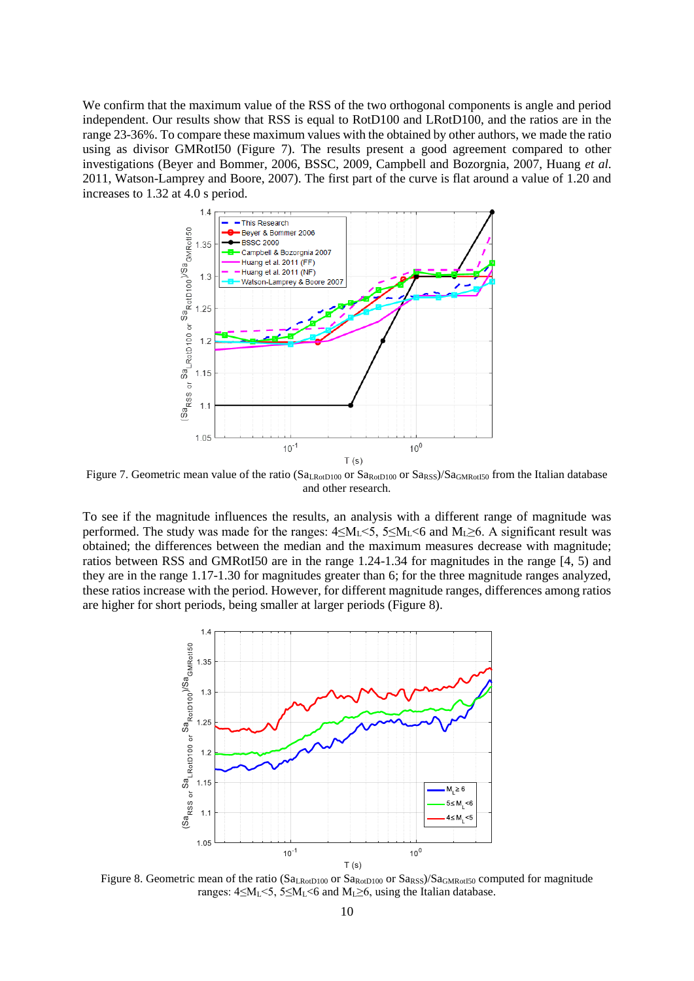We confirm that the maximum value of the RSS of the two orthogonal components is angle and period independent. Our results show that RSS is equal to RotD100 and LRotD100, and the ratios are in the range 23-36%. To compare these maximum values with the obtained by other authors, we made the ratio using as divisor GMRotI50 (Figure 7). The results present a good agreement compared to other investigations (Beyer and Bommer, 2006, BSSC, 2009, Campbell and Bozorgnia, 2007, Huang *et al*. 2011, Watson-Lamprey and Boore, 2007). The first part of the curve is flat around a value of 1.20 and increases to 1.32 at 4.0 s period.



Figure 7. Geometric mean value of the ratio (Sa<sub>LRotD100</sub> or Sa<sub>RotD100</sub> or Sa<sub>RSS</sub>)/Sa<sub>GMRotI50</sub> from the Italian database and other research.

To see if the magnitude influences the results, an analysis with a different range of magnitude was performed. The study was made for the ranges:  $4 \le M_L < 5$ ,  $5 \le M_L < 6$  and  $M_L \ge 6$ . A significant result was obtained; the differences between the median and the maximum measures decrease with magnitude; ratios between RSS and GMRotI50 are in the range 1.24-1.34 for magnitudes in the range [4, 5) and they are in the range 1.17-1.30 for magnitudes greater than 6; for the three magnitude ranges analyzed, these ratios increase with the period. However, for different magnitude ranges, differences among ratios are higher for short periods, being smaller at larger periods (Figure 8).



Figure 8. Geometric mean of the ratio (Sa<sub>LRotD100</sub> or Sa<sub>RotD100</sub> or Sa<sub>RsS</sub>)/Sa<sub>GMRotI50</sub> computed for magnitude ranges:  $4 \le M_L < 5$ ,  $5 \le M_L < 6$  and  $M_L \ge 6$ , using the Italian database.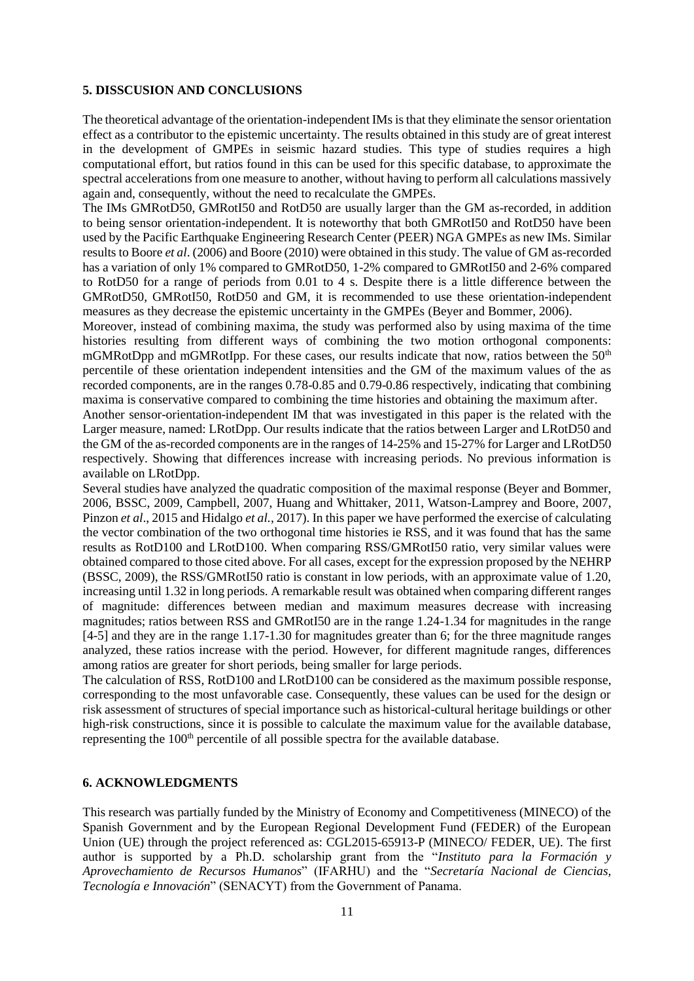# **5. DISSCUSION AND CONCLUSIONS**

The theoretical advantage of the orientation-independent IMs is that they eliminate the sensor orientation effect as a contributor to the epistemic uncertainty. The results obtained in this study are of great interest in the development of GMPEs in seismic hazard studies. This type of studies requires a high computational effort, but ratios found in this can be used for this specific database, to approximate the spectral accelerations from one measure to another, without having to perform all calculations massively again and, consequently, without the need to recalculate the GMPEs.

The IMs GMRotD50, GMRotI50 and RotD50 are usually larger than the GM as-recorded, in addition to being sensor orientation-independent. It is noteworthy that both GMRotI50 and RotD50 have been used by the Pacific Earthquake Engineering Research Center (PEER) NGA GMPEs as new IMs. Similar results to Boore *et al*. (2006) and Boore (2010) were obtained in this study. The value of GM as-recorded has a variation of only 1% compared to GMRotD50, 1-2% compared to GMRotI50 and 2-6% compared to RotD50 for a range of periods from 0.01 to 4 s. Despite there is a little difference between the GMRotD50, GMRotI50, RotD50 and GM, it is recommended to use these orientation-independent measures as they decrease the epistemic uncertainty in the GMPEs (Beyer and Bommer, 2006).

Moreover, instead of combining maxima, the study was performed also by using maxima of the time histories resulting from different ways of combining the two motion orthogonal components: mGMRotDpp and mGMRotIpp. For these cases, our results indicate that now, ratios between the 50<sup>th</sup> percentile of these orientation independent intensities and the GM of the maximum values of the as recorded components, are in the ranges 0.78-0.85 and 0.79-0.86 respectively, indicating that combining maxima is conservative compared to combining the time histories and obtaining the maximum after.

Another sensor-orientation-independent IM that was investigated in this paper is the related with the Larger measure, named: LRotDpp. Our results indicate that the ratios between Larger and LRotD50 and the GM of the as-recorded components are in the ranges of 14-25% and 15-27% for Larger and LRotD50 respectively. Showing that differences increase with increasing periods. No previous information is available on LRotDpp.

Several studies have analyzed the quadratic composition of the maximal response (Beyer and Bommer, 2006, BSSC, 2009, Campbell, 2007, Huang and Whittaker, 2011, Watson-Lamprey and Boore, 2007, Pinzon *et al*., 2015 and Hidalgo *et al.*, 2017). In this paper we have performed the exercise of calculating the vector combination of the two orthogonal time histories ie RSS, and it was found that has the same results as RotD100 and LRotD100. When comparing RSS/GMRotI50 ratio, very similar values were obtained compared to those cited above. For all cases, except for the expression proposed by the NEHRP (BSSC, 2009), the RSS/GMRotI50 ratio is constant in low periods, with an approximate value of 1.20, increasing until 1.32 in long periods. A remarkable result was obtained when comparing different ranges of magnitude: differences between median and maximum measures decrease with increasing magnitudes; ratios between RSS and GMRotI50 are in the range 1.24-1.34 for magnitudes in the range [4-5] and they are in the range 1.17-1.30 for magnitudes greater than 6; for the three magnitude ranges analyzed, these ratios increase with the period. However, for different magnitude ranges, differences among ratios are greater for short periods, being smaller for large periods.

The calculation of RSS, RotD100 and LRotD100 can be considered as the maximum possible response, corresponding to the most unfavorable case. Consequently, these values can be used for the design or risk assessment of structures of special importance such as historical-cultural heritage buildings or other high-risk constructions, since it is possible to calculate the maximum value for the available database, representing the 100<sup>th</sup> percentile of all possible spectra for the available database.

# **6. ACKNOWLEDGMENTS**

This research was partially funded by the Ministry of Economy and Competitiveness (MINECO) of the Spanish Government and by the European Regional Development Fund (FEDER) of the European Union (UE) through the project referenced as: CGL2015-65913-P (MINECO/ FEDER, UE). The first author is supported by a Ph.D. scholarship grant from the "*Instituto para la Formación y Aprovechamiento de Recursos Humanos*" (IFARHU) and the "*Secretaría Nacional de Ciencias, Tecnología e Innovación*" (SENACYT) from the Government of Panama.